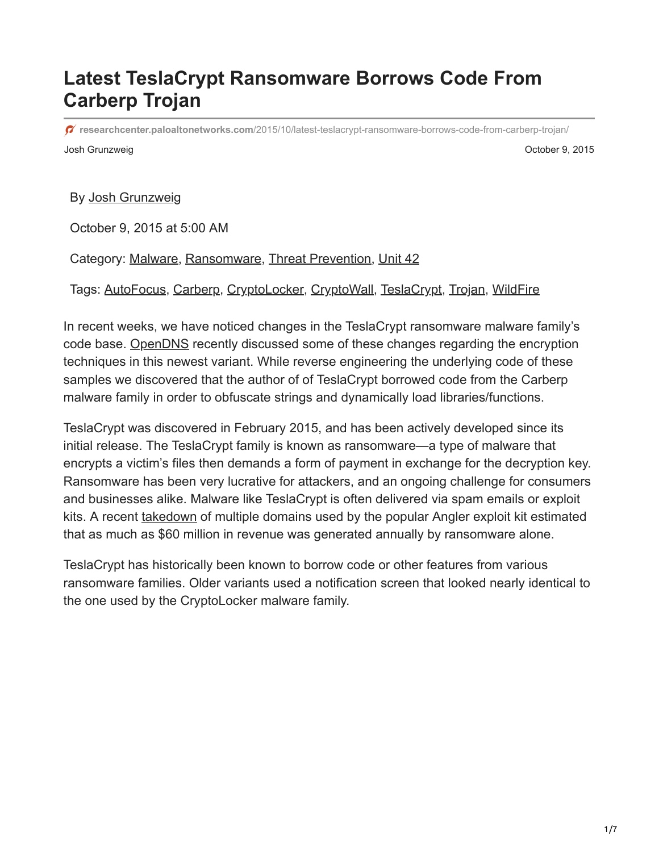## **Latest TeslaCrypt Ransomware Borrows Code From Carberp Trojan**

Josh Grunzweig October 9, 2015 **researchcenter.paloaltonetworks.com**[/2015/10/latest-teslacrypt-ransomware-borrows-code-from-carberp-trojan/](https://researchcenter.paloaltonetworks.com/2015/10/latest-teslacrypt-ransomware-borrows-code-from-carberp-trojan/)

By [Josh Grunzweig](https://unit42.paloaltonetworks.com/author/joshgruznweig/)

October 9, 2015 at 5:00 AM

Category: [Malware,](https://unit42.paloaltonetworks.com/category/malware-2/) [Ransomware](https://unit42.paloaltonetworks.com/category/ransomware/), [Threat Prevention](https://unit42.paloaltonetworks.com/category/threat-prevention-2/), [Unit 42](https://unit42.paloaltonetworks.com/category/unit42/)

Tags: [AutoFocus](https://unit42.paloaltonetworks.com/tag/autofocus/), [Carberp,](https://unit42.paloaltonetworks.com/tag/carberp/) [CryptoLocker,](https://unit42.paloaltonetworks.com/tag/cryptolocker/) [CryptoWall](https://unit42.paloaltonetworks.com/tag/cryptowall/), [TeslaCrypt,](https://unit42.paloaltonetworks.com/tag/teslacrypt/) [Trojan,](https://unit42.paloaltonetworks.com/tag/trojan/) [WildFire](https://unit42.paloaltonetworks.com/tag/wildfire/)

In recent weeks, we have noticed changes in the TeslaCrypt ransomware malware family's code base. [OpenDNS](https://labs.opendns.com/2015/09/29/teslacrypt-revisited/) recently discussed some of these changes regarding the encryption techniques in this newest variant. While reverse engineering the underlying code of these samples we discovered that the author of of TeslaCrypt borrowed code from the Carberp malware family in order to obfuscate strings and dynamically load libraries/functions.

TeslaCrypt was discovered in February 2015, and has been actively developed since its initial release. The TeslaCrypt family is known as ransomware—a type of malware that encrypts a victim's files then demands a form of payment in exchange for the decryption key. Ransomware has been very lucrative for attackers, and an ongoing challenge for consumers and businesses alike. Malware like TeslaCrypt is often delivered via spam emails or exploit kits. A recent [takedown](http://blogs.cisco.com/security/talos/angler-exposed) of multiple domains used by the popular Angler exploit kit estimated that as much as \$60 million in revenue was generated annually by ransomware alone.

TeslaCrypt has historically been known to borrow code or other features from various ransomware families. Older variants used a notification screen that looked nearly identical to the one used by the CryptoLocker malware family.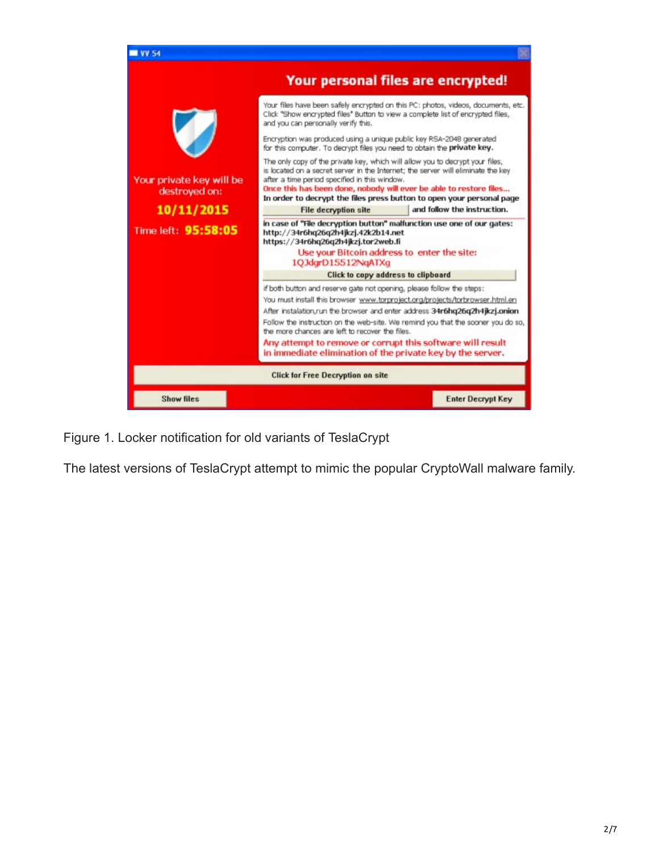

Figure 1. Locker notification for old variants of TeslaCrypt

The latest versions of TeslaCrypt attempt to mimic the popular CryptoWall malware family.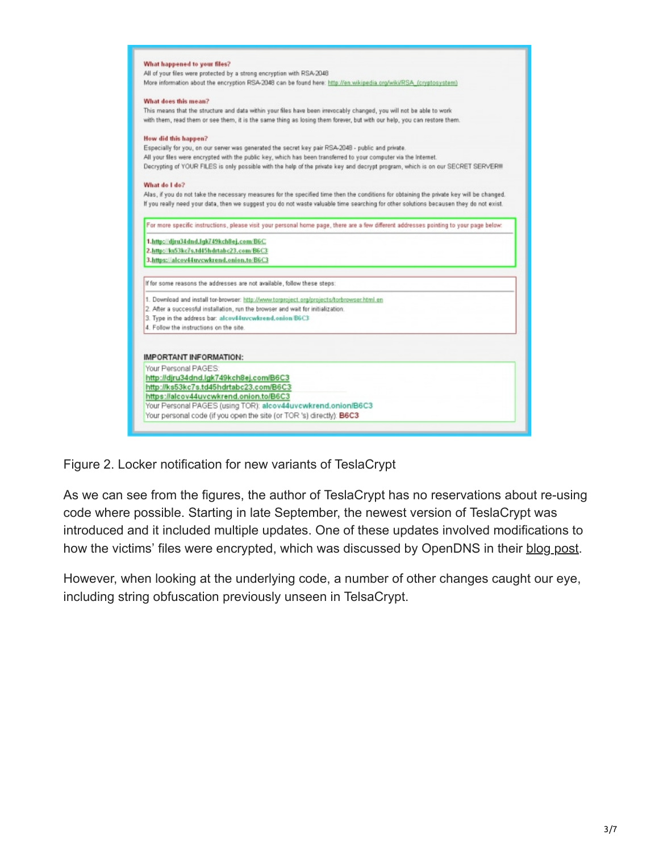

Figure 2. Locker notification for new variants of TeslaCrypt

As we can see from the figures, the author of TeslaCrypt has no reservations about re-using code where possible. Starting in late September, the newest version of TeslaCrypt was introduced and it included multiple updates. One of these updates involved modifications to how the victims' files were encrypted, which was discussed by OpenDNS in their [blog post.](https://labs.opendns.com/2015/09/29/teslacrypt-revisited/)

However, when looking at the underlying code, a number of other changes caught our eye, including string obfuscation previously unseen in TelsaCrypt.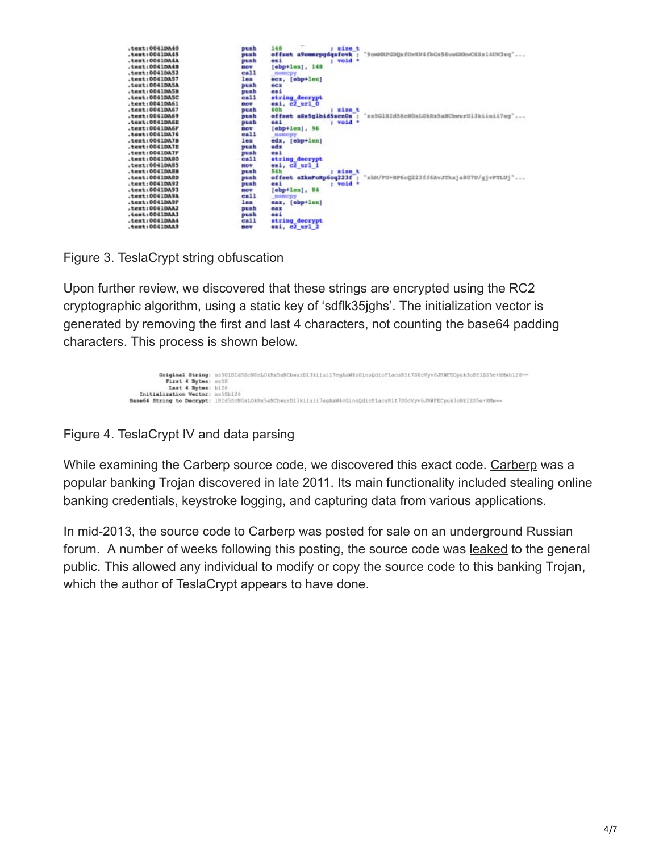| $.$ text:0041DA40<br>push       | 148<br><i>i</i> size t                                                 |
|---------------------------------|------------------------------------------------------------------------|
| $.$ tert: 0041DA45<br>push      | "9cmMUPGDQ&fOvNM4fbGz56uwGROnvC65zl4UHJzq"<br>offset a9comrpgdgafovk ; |
| .text:0041DA4A<br>push          | i void .<br>0.41                                                       |
| $.$ text:0041DA4B<br><b>ERV</b> | [ebp+len], 148                                                         |
| call<br>. 100410852             | memcny                                                                 |
| $.$ text: 00410A57<br>3,025     |                                                                        |
| $.$ text:0041DASA               | ecx, [ebp+len]<br>間付工                                                  |
| push                            |                                                                        |
| .text:0041DASB<br>push          | es i                                                                   |
| $cat1$<br>.text:0041DASC        | string decrypt                                                         |
| $.$ tert: 00410861<br>nov       | esi, c2 url 0                                                          |
| . text: 0041DA67<br>push        | 60h<br>size t                                                          |
| $.$ text: 00410869<br>push      | offset aSs5glbid5scn0s<br>"ss5GlBId5ScNOsLOkRx5aNCbwurD13kiiuii7eg"    |
| .text:0041DASE<br>push          | : void *<br>est                                                        |
| $.$ text:0041DA6F<br>nov        | [ebp+len], 96                                                          |
| $cal1$<br>$.$ text:0041DA76     | nemcoy                                                                 |
| .text:0041DA7B<br>1651          | edx, [ebp+len]                                                         |
| .text:0041DA7E<br>push          | edx                                                                    |
| $.$ text:0041DA7F<br>push       | esi                                                                    |
| $.$ text: 0041DA80<br>$ca11$    | string decrypt                                                         |
| $.$ text:0041DA85<br>mov        | esi, c2 url 1                                                          |
| $.$ text: $00410$ ABB<br>ousa   | 54h<br><i>l</i> size t                                                 |
| $.$ text:0041DARD<br>push       | offset aXkmFoRp6cq221f : "xkH/FO+RP6cQ223ff6AvJTksjaBO7U/qjvPTLUj"     |
| $.$ text: 00410A92<br>push      | : void .<br>0.1                                                        |
| .text:0041DA93<br><b>BOV</b>    | [ebp+len], H4                                                          |
| $cn11$<br>$.$ text:0041DA%A     | mancpy                                                                 |
| $.$ text: 0041DA9P<br>lea       | eax, [ehp+len]                                                         |
| .text:0041DAA2<br>push          | <b>CAR</b>                                                             |
| $.$ text:0041DAA1<br>push       | esi.                                                                   |
| $011$<br>.text;00410A44         | string decrypt                                                         |
| $.$ text: 00410AA9<br>mov       | esi, c2 url 2                                                          |

Figure 3. TeslaCrypt string obfuscation

Upon further review, we discovered that these strings are encrypted using the RC2 cryptographic algorithm, using a static key of 'sdflk35jghs'. The initialization vector is generated by removing the first and last 4 characters, not counting the base64 padding characters. This process is shown below.

|                                 | Original String: ss5G1BId5Gc60eLOkRx5aNCbwurD13kiiui1TeahaWdcGinoOdicFIacsHlt7B0cVyv6JRWFECpuk3oBY1555e+XMwb126 -- |
|---------------------------------|--------------------------------------------------------------------------------------------------------------------|
| First 4 Bytes: natG             |                                                                                                                    |
| Last 4 Bytan: b126              |                                                                                                                    |
| Initialization Vector: ##5Gb126 |                                                                                                                    |
|                                 | Base64 String to Decrypt: IBId5dcN0alOkRx5aNCbwurDl3kiiuli7agAaW4cGlnoQdicPlacsRit7S0cVvv6JNWFECpuk3oBY12S5a+XMwww |

Figure 4. TeslaCrypt IV and data parsing

While examining the [Carberp](http://www.microsoft.com/security/portal/threat/encyclopedia/entry.aspx?Name=Win32%2fCarberp#tab=2) source code, we discovered this exact code. Carberp was a popular banking Trojan discovered in late 2011. Its main functionality included stealing online banking credentials, keystroke logging, and capturing data from various applications.

In mid-2013, the source code to Carberp was [posted for sale](https://securityintelligence.com/carberp-source-code-sale-free-bootkit-included/) on an underground Russian forum. A number of weeks following this posting, the source code was [leaked](https://threatpost.com/carberp-source-code-leaked/101070/) to the general public. This allowed any individual to modify or copy the source code to this banking Trojan, which the author of TeslaCrypt appears to have done.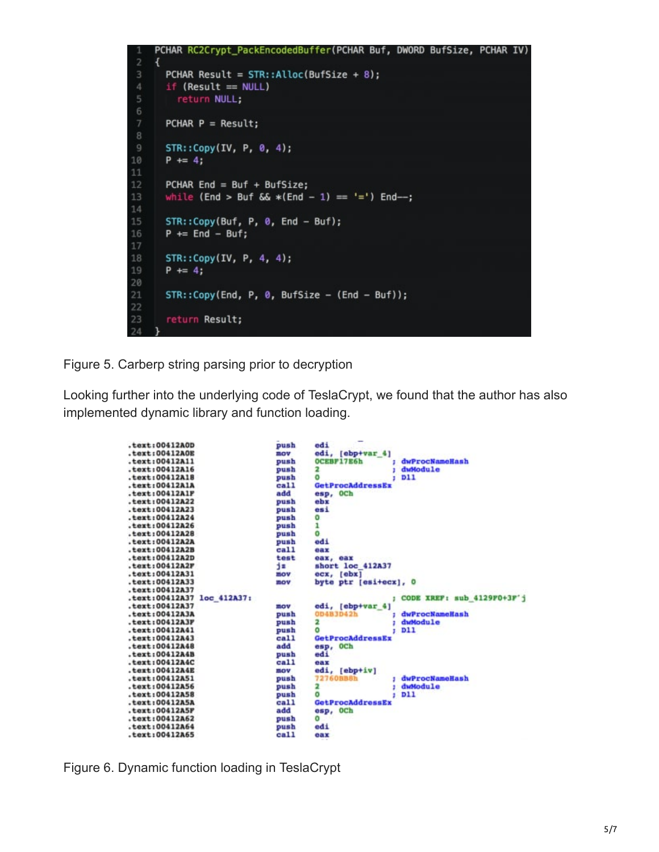```
PCHAR RC2Crypt_PackEncodedBuffer(PCHAR Buf, DWORD BufSize, PCHAR IV)
\overline{2}¥
      PCHAR Result = STR::Alice(BufSize + 8);if (Result == NULL)5
         return NULL;
      PCHAR P = Result;\overline{9}STR::Copy(IV, P, 0, 4);10
      P == 4;11
12PCHAR End = But + ButSize;13
      while (End > Buf && *(End - 1) == '=') End--;
1415
      STR::Copy(Buf, P, 0, End - But);16
      P \leftarrow End - Buf;
17
18
      STR::Copy(IV, P, 4, 4);19
      P == 4;20
21STR::Copy(End, P, 0, ButSize - (End - But));22
23
       return Result;
24
```
Figure 5. Carberp string parsing prior to decryption

Looking further into the underlying code of TeslaCrypt, we found that the author has also implemented dynamic library and function loading.



Figure 6. Dynamic function loading in TeslaCrypt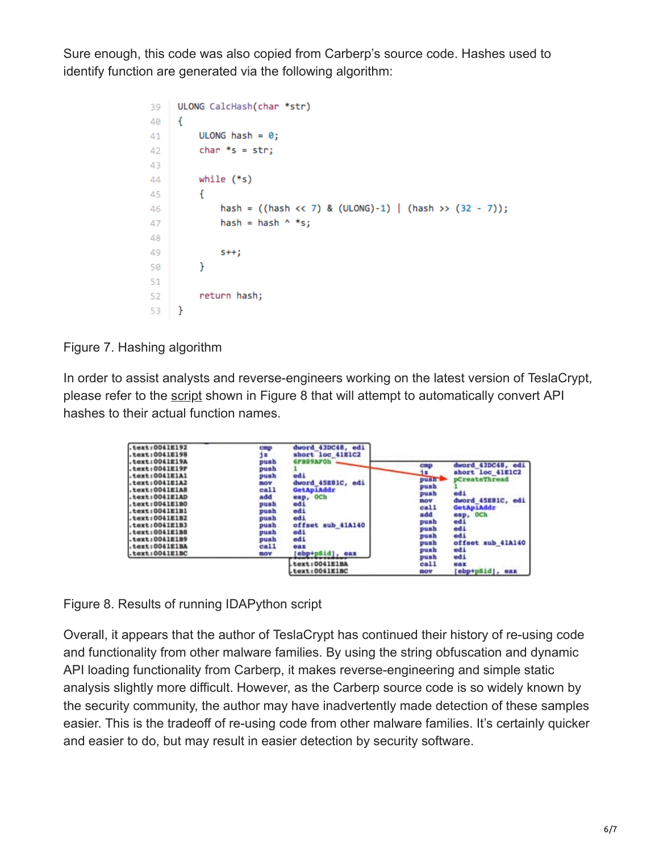Sure enough, this code was also copied from Carberp's source code. Hashes used to identify function are generated via the following algorithm:

```
ULONG CalcHash(char *str)
39
      \left\{ \right.40
          ULONG hash = \theta;
41
           char *s = str;42
43
           while (*s)44
           \mathbf{f}45
               hash = ((hash \le 7) & (ULONG)-1) | (hash \ge (32 - 7));46
               hash = hash \wedge *s;
47
48
49
                5++;}
50
51
           return hash;
52
      \mathcal{F}53
```
Figure 7. Hashing algorithm

In order to assist analysts and reverse-engineers working on the latest version of TeslaCrypt, please refer to the [script](https://github.com/pan-unit42/public_tools/tree/master/teslacrypt) shown in Figure 8 that will attempt to automatically convert API hashes to their actual function names.

| text:0041E192<br>$.$ text: 0041E198                                                                                                                                                                                                                                                     | emp.<br>12                                                                                                      | dword 43DC48, edi<br>short loc 41E1C2                                                                                                                           |                                                                                                                         |                                                                                                                                                                |
|-----------------------------------------------------------------------------------------------------------------------------------------------------------------------------------------------------------------------------------------------------------------------------------------|-----------------------------------------------------------------------------------------------------------------|-----------------------------------------------------------------------------------------------------------------------------------------------------------------|-------------------------------------------------------------------------------------------------------------------------|----------------------------------------------------------------------------------------------------------------------------------------------------------------|
| .text:0041E19A<br>$.$ text:0041E19F<br>$.$ text: 0041E1A1<br>$.$ text: 0041E1A2<br>.text10041E1AB<br>.text: 0041E1AD<br>$.$ text: 0041E1BO<br>.text:0041E1B1<br>$.$ text:0041E1B2<br>$.$ text: 0041E1B3<br>$.$ text: 0041E1BS<br>.text:0041E1B9<br>$.$ text: 0041E1BA<br>.text:0041E1BC | push<br>push<br>push<br>mov<br>$_{cal}$<br>add<br>push<br>push<br>push<br>push<br>push<br>push<br>$cal1$<br>mov | <b><i>SFRESAFOL</i></b><br>edi<br>dword 45EB1C, edi<br>GetApiAddr<br>esp, OCh<br>edi.<br>edi<br>edi<br>offset sub 41A140<br>edi<br>edi<br>oax<br>ebp+p5id], eax | <b>CIRED</b><br>18<br>push <sup>2</sup><br>push<br>push<br>nov<br>$cat1$<br>add<br>push<br>push<br>push<br>gush<br>push | dword 43DC48, edi<br>short loc 41E1C2<br>pCreateThread<br>edi.<br>dword 45E81C, edi<br>GetApiAddr<br>esp, OCh<br>edi<br>edi<br>ddi<br>offset sub 41A140<br>odi |
|                                                                                                                                                                                                                                                                                         |                                                                                                                 | text: 0041E1BA<br>text:0041E1BC                                                                                                                                 | push<br>ca11<br>nov                                                                                                     | edi<br>eax<br>[ebp+pSid], eax                                                                                                                                  |

Figure 8. Results of running IDAPython script

Overall, it appears that the author of TeslaCrypt has continued their history of re-using code and functionality from other malware families. By using the string obfuscation and dynamic API loading functionality from Carberp, it makes reverse-engineering and simple static analysis slightly more difficult. However, as the Carberp source code is so widely known by the security community, the author may have inadvertently made detection of these samples easier. This is the tradeoff of re-using code from other malware families. It's certainly quicker and easier to do, but may result in easier detection by security software.